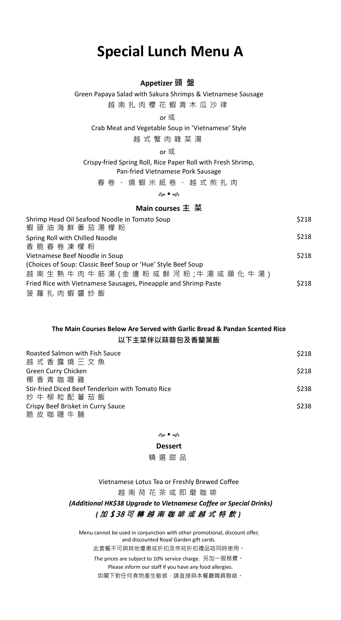# **Special Lunch Menu A**

## **Appetizer 頭 盤**

Green Papaya Salad with Sakura Shrimps & Vietnamese Sausage 越南扎肉櫻花蝦青木瓜沙律

or 或

Crab Meat and Vegetable Soup in 'Vietnamese' Style

越 式 蟹 肉 雜 菜 湯

or 或

Crispy-fried Spring Roll, Rice Paper Roll with Fresh Shrimp, Pan-fried Vietnamese Pork Sausage

春卷、燒蝦米紙卷、越式煎扎肉

๛•๑

## **Main courses 主 菜**

| Shrimp Head Oil Seafood Noodle in Tomato Soup<br>蝦 頭 油 海 鮮 番 茄 湯 檬 粉 | \$218 |
|----------------------------------------------------------------------|-------|
| Spring Roll with Chilled Noodle                                      | \$218 |
| 香 脆 春 卷 凍 檬 粉                                                        |       |
| Vietnamese Beef Noodle in Soup                                       | \$218 |
| (Choices of Soup: Classic Beef Soup or 'Hue' Style Beef Soup         |       |
| 越 南 生 熟 牛 肉 牛 筋 湯 (金 邊 粉 或 鮮 河 粉 ;牛 湯 或 順 化 牛 湯 )                    |       |
| Fried Rice with Vietnamese Sausages, Pineapple and Shrimp Paste      | \$218 |
| 菠蘿扎肉蝦醬炒飯                                                             |       |

## **The Main Courses Below Are Served with Garlic Bread & Pandan Scented Rice 以下主菜伴以蒜蓉包及香蘭葉飯**

| Roasted Salmon with Fish Sauce<br>越 式 香 露 燒 三 文 魚 | \$218 |
|---------------------------------------------------|-------|
| Green Curry Chicken                               | \$218 |
| 椰香青咖喱雞                                            |       |
| Stir-fried Diced Beef Tenderloin with Tomato Rice | \$238 |
| 炒 牛 柳 粒 配 蕃 茄 飯                                   |       |
| Crispy Beef Brisket in Curry Sauce                | \$238 |
| 脆皮咖喱牛腩                                            |       |

#### ๛•๑

#### **Dessert**

精選甜品

Vietnamese Lotus Tea or Freshly Brewed Coffee 越南荷花茶或 即 磨 咖 啡 *(Additional HK\$38 Upgrade to Vietnamese Coffee or Special Drinks) (* 加 \$ 38 可轉越南咖啡或越式特飲 *)*

Menu cannot be used in conjunction with other promotional, discount offer, and discounted Royal Garden gift cards. 此套餐不可與其他優惠或折扣及帝苑折扣禮品咭同時使用。

The prices are subject to 10% service charge. 另加一服務費。 Please inform our staff if you have any food allergies.

如閣下對任何食物產生敏感,請直接與本餐廳職員聯絡。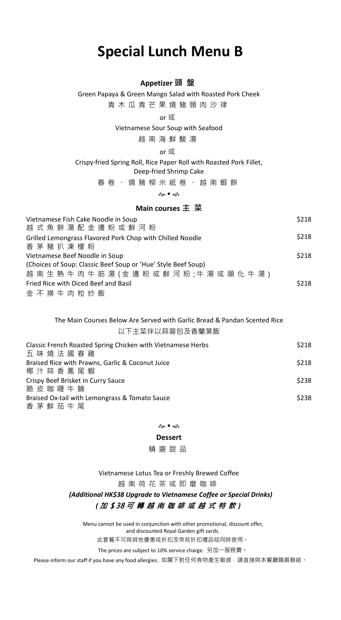# **Special Lunch Menu B**

## **Appetizer 頭 盤**

Green Papaya & Green Mango Salad with Roasted Pork Cheek

青木瓜青芒果燒豬頸肉沙律

or 或

Vietnamese Sour Soup with Seafood

越南海鮮酸 湯

or 或

Crispy-fried Spring Roll, Rice Paper Roll with Roasted Pork Fillet, Deep-fried Shrimp Cake

春卷、燒豬柳米紙卷、越南蝦餅

๛•๑

## **Main courses 主 菜**

| Vietnamese Fish Cake Noodle in Soup<br>越 式 魚 餅 湯 配 金 邊 粉 或 鮮 河 粉 | \$218 |
|------------------------------------------------------------------|-------|
| Grilled Lemongrass Flavored Pork Chop with Chilled Noodle        | \$218 |
| 香 茅 豬 扒 凍 檬 粉<br>Vietnamese Beef Noodle in Soup                  | \$218 |
| (Choices of Soup: Classic Beef Soup or 'Hue' Style Beef Soup)    |       |
| 越 南 生 熟 牛 肉 牛 筋 湯 (金 邊 粉 或 鮮 河 粉 ;牛 湯 或 順 化 牛 湯 )                |       |
| Fried Rice with Diced Beef and Basil                             | \$218 |
| 金不 换 牛 肉 粒 炒 飯                                                   |       |

## The Main Courses Below Are Served with Garlic Bread & Pandan Scented Rice 以下主菜伴以蒜蓉包及香蘭葉飯

| Classic French Roasted Spring Chicken with Vietnamese Herbs<br>五味燒法國春雞 | \$218 |
|------------------------------------------------------------------------|-------|
| Braised Rice with Prawns, Garlic & Coconut Juice                       | \$218 |
| 椰汁蒜香鳳尾蝦                                                                |       |
| Crispy Beef Brisket in Curry Sauce                                     | \$238 |
| 脆 皮 咖 喱 牛 腩                                                            |       |
| Braised Ox-tail with Lemongrass & Tomato Sauce                         | \$238 |
| 香 茅 鮮 茄 牛 尾                                                            |       |

�∎≼

## **Dessert**

精選甜品

Vietnamese Lotus Tea or Freshly Brewed Coffee 越南荷花茶或 即 磨 咖 啡 *(Additional HK\$38 Upgrade to Vietnamese Coffee or Special Drinks)*

## *(* 加 \$ 38 可轉越南咖啡或越式特飲 *)*

Menu cannot be used in conjunction with other promotional, discount offer, and discounted Royal Garden gift cards.

此套餐不可與其他優惠或折扣及帝苑折扣禮品咭同時使用。

The prices are subject to 10% service charge. 另加一服務費。

Please inform our staff if you have any food allergies. 如閣下對任何食物產生敏感,請直接與本餐廳職員聯絡。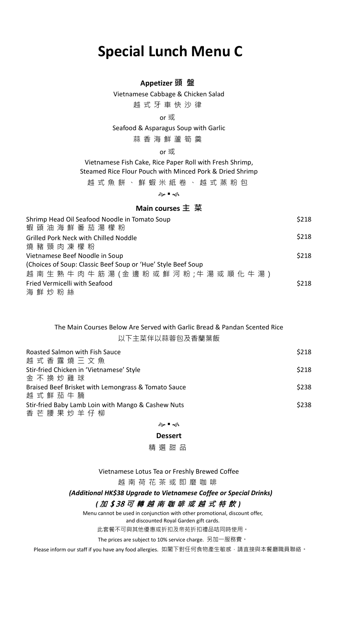# **Special Lunch Menu C**

## **Appetizer 頭 盤**

Vietnamese Cabbage & Chicken Salad 越式牙車快沙律

## or 或

Seafood & Asparagus Soup with Garlic

蒜 香 海 鮮 蘆筍羹

## or 或

Vietnamese Fish Cake, Rice Paper Roll with Fresh Shrimp, Steamed Rice Flour Pouch with Minced Pork & Dried Shrimp

越式魚餅 、 鮮蝦米 紙 卷 、 越 式蒸粉 包

๛•๑

## **Main courses 主 菜**

| Shrimp Head Oil Seafood Noodle in Tomato Soup<br>蝦 頭 油 海 鮮 番 茄 湯 檬 粉 | \$218 |
|----------------------------------------------------------------------|-------|
| Grilled Pork Neck with Chilled Noddle                                | \$218 |
| 燒 豬 頸 肉 凍 檬 粉                                                        |       |
| Vietnamese Beef Noodle in Soup                                       | \$218 |
| (Choices of Soup: Classic Beef Soup or 'Hue' Style Beef Soup         |       |
| 越 南 生 熟 牛 肉 牛 筋 湯 (金 邊 粉 或 鮮 河 粉 ;牛 湯 或 順 化 牛 湯 )                    |       |
| Fried Vermicelli with Seafood                                        | \$218 |
| 海鮮炒粉絲                                                                |       |

## The Main Courses Below Are Served with Garlic Bread & Pandan Scented Rice 以下主菜伴以蒜蓉包及香蘭葉飯

| Roasted Salmon with Fish Sauce<br>越 式 香 露 燒 三 文 魚   | \$218 |
|-----------------------------------------------------|-------|
|                                                     |       |
| Stir-fried Chicken in 'Vietnamese' Style            | \$218 |
| 金 不 換 炒 雞 球                                         |       |
| Braised Beef Brisket with Lemongrass & Tomato Sauce | \$238 |
| 越式鮮茄牛腩                                              |       |
| Stir-fried Baby Lamb Loin with Mango & Cashew Nuts  | \$238 |
| 香芒腰果炒羊仔柳                                            |       |

#### ๛•๑

### **Dessert**

精選甜品

Vietnamese Lotus Tea or Freshly Brewed Coffee

越南荷花茶或 即 磨 咖 啡

## *(Additional HK\$38 Upgrade to Vietnamese Coffee or Special Drinks)*

### *(* 加 \$ 38 可轉越南咖啡或越式特飲 *)*

Menu cannot be used in conjunction with other promotional, discount offer,

and discounted Royal Garden gift cards.

此套餐不可與其他優惠或折扣及帝苑折扣禮品咭同時使用。

The prices are subject to 10% service charge. 另加一服務費。

Please inform our staff if you have any food allergies. 如閣下對任何食物產生敏感,請直接與本餐廳職員聯絡。